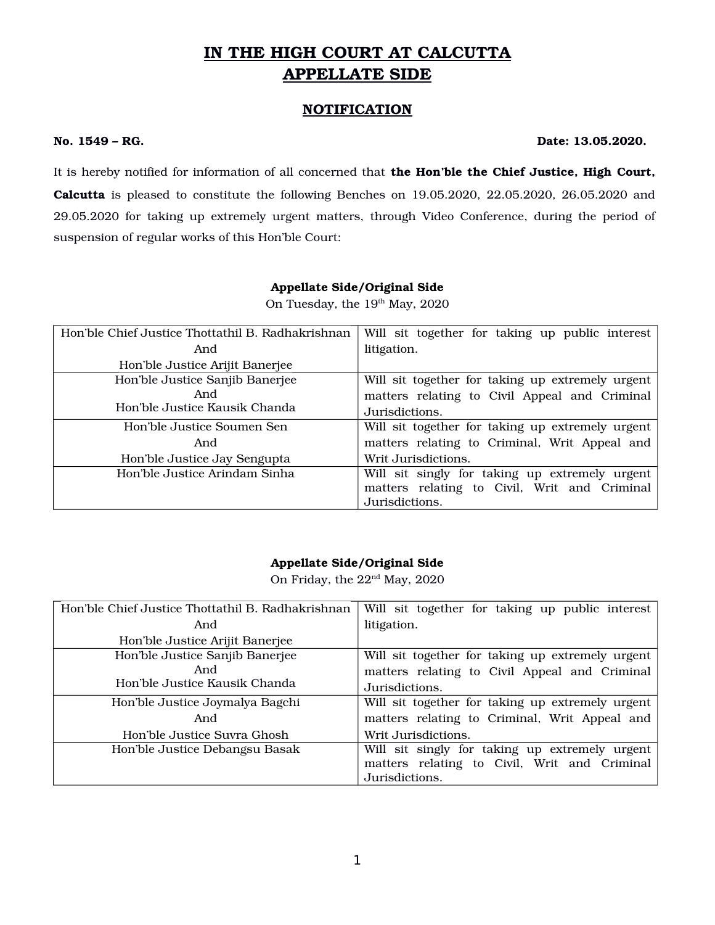# **IN THE HIGH COURT AT CALCUTTA APPELLATE SIDE**

### **NOTIFICATION**

#### **No. 1549 – RG. Date: 13.05.2020.**

It is hereby notified for information of all concerned that **the Hon'ble the Chief Justice, High Court, Calcutta** is pleased to constitute the following Benches on 19.05.2020, 22.05.2020, 26.05.2020 and 29.05.2020 for taking up extremely urgent matters, through Video Conference, during the period of suspension of regular works of this Hon'ble Court:

#### **Appellate Side/Original Side**

On Tuesday, the 19<sup>th</sup> May, 2020

| Hon'ble Chief Justice Thottathil B. Radhakrishnan | Will sit together for taking up public interest  |
|---------------------------------------------------|--------------------------------------------------|
| And                                               | litigation.                                      |
| Hon'ble Justice Arijit Banerjee                   |                                                  |
| Hon'ble Justice Sanjib Banerjee                   | Will sit together for taking up extremely urgent |
| And                                               | matters relating to Civil Appeal and Criminal    |
| Hon'ble Justice Kausik Chanda                     | Jurisdictions.                                   |
| Hon'ble Justice Soumen Sen                        | Will sit together for taking up extremely urgent |
| And                                               | matters relating to Criminal, Writ Appeal and    |
| Hon'ble Justice Jay Sengupta                      | Writ Jurisdictions.                              |
| Hon'ble Justice Arindam Sinha                     | Will sit singly for taking up extremely urgent   |
|                                                   | matters relating to Civil, Writ and Criminal     |
|                                                   | Jurisdictions.                                   |

#### **Appellate Side/Original Side**

On Friday, the  $22<sup>nd</sup>$  May, 2020

| Hon'ble Chief Justice Thottathil B. Radhakrishnan | Will sit together for taking up public interest  |
|---------------------------------------------------|--------------------------------------------------|
| And                                               | litigation.                                      |
| Hon'ble Justice Arijit Banerjee                   |                                                  |
| Hon'ble Justice Sanjib Banerjee                   | Will sit together for taking up extremely urgent |
| And                                               | matters relating to Civil Appeal and Criminal    |
| Hon'ble Justice Kausik Chanda                     | Jurisdictions.                                   |
| Hon'ble Justice Joymalya Bagchi                   | Will sit together for taking up extremely urgent |
| And                                               | matters relating to Criminal, Writ Appeal and    |
| Hon'ble Justice Suvra Ghosh                       | Writ Jurisdictions.                              |
| Hon'ble Justice Debangsu Basak                    | Will sit singly for taking up extremely urgent   |
|                                                   | matters relating to Civil, Writ and Criminal     |
|                                                   | Jurisdictions.                                   |